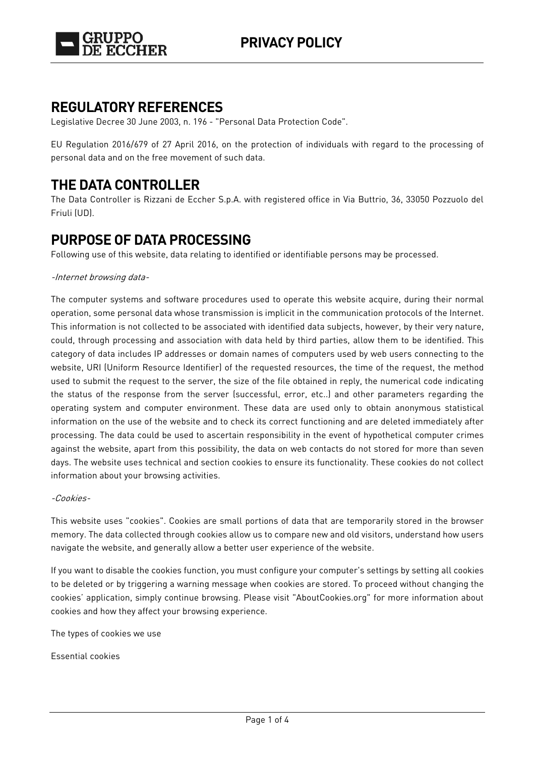

### **REGULATORY REFERENCES**

Legislative Decree 30 June 2003, n. 196 - "Personal Data Protection Code".

EU Regulation 2016/679 of 27 April 2016, on the protection of individuals with regard to the processing of personal data and on the free movement of such data.

## **THE DATA CONTROLLER**

The Data Controller is Rizzani de Eccher S.p.A. with registered office in Via Buttrio, 36, 33050 Pozzuolo del Friuli (UD).

### **PURPOSE OF DATA PROCESSING**

Following use of this website, data relating to identified or identifiable persons may be processed.

### -Internet browsing data-

The computer systems and software procedures used to operate this website acquire, during their normal operation, some personal data whose transmission is implicit in the communication protocols of the Internet. This information is not collected to be associated with identified data subjects, however, by their very nature, could, through processing and association with data held by third parties, allow them to be identified. This category of data includes IP addresses or domain names of computers used by web users connecting to the website, URI (Uniform Resource Identifier) of the requested resources, the time of the request, the method used to submit the request to the server, the size of the file obtained in reply, the numerical code indicating the status of the response from the server (successful, error, etc..) and other parameters regarding the operating system and computer environment. These data are used only to obtain anonymous statistical information on the use of the website and to check its correct functioning and are deleted immediately after processing. The data could be used to ascertain responsibility in the event of hypothetical computer crimes against the website, apart from this possibility, the data on web contacts do not stored for more than seven days. The website uses technical and section cookies to ensure its functionality. These cookies do not collect information about your browsing activities.

#### -Cookies-

This website uses "cookies". Cookies are small portions of data that are temporarily stored in the browser memory. The data collected through cookies allow us to compare new and old visitors, understand how users navigate the website, and generally allow a better user experience of the website.

If you want to disable the cookies function, you must configure your computer's settings by setting all cookies to be deleted or by triggering a warning message when cookies are stored. To proceed without changing the cookies' application, simply continue browsing. Please visit "AboutCookies.org" for more information about cookies and how they affect your browsing experience.

The types of cookies we use

Essential cookies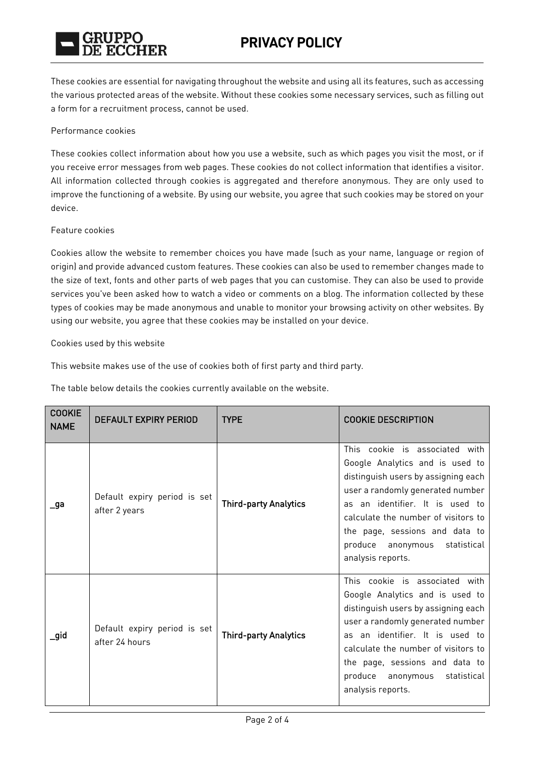

These cookies are essential for navigating throughout the website and using all its features, such as accessing the various protected areas of the website. Without these cookies some necessary services, such as filling out a form for a recruitment process, cannot be used.

#### Performance cookies

These cookies collect information about how you use a website, such as which pages you visit the most, or if you receive error messages from web pages. These cookies do not collect information that identifies a visitor. All information collected through cookies is aggregated and therefore anonymous. They are only used to improve the functioning of a website. By using our website, you agree that such cookies may be stored on your device.

#### Feature cookies

Cookies allow the website to remember choices you have made (such as your name, language or region of origin) and provide advanced custom features. These cookies can also be used to remember changes made to the size of text, fonts and other parts of web pages that you can customise. They can also be used to provide services you've been asked how to watch a video or comments on a blog. The information collected by these types of cookies may be made anonymous and unable to monitor your browsing activity on other websites. By using our website, you agree that these cookies may be installed on your device.

#### Cookies used by this website

This website makes use of the use of cookies both of first party and third party.

The table below details the cookies currently available on the website.

| <b>COOKIE</b><br><b>NAME</b> | <b>DEFAULT EXPIRY PERIOD</b>                   | <b>TYPE</b>                  | <b>COOKIE DESCRIPTION</b>                                                                                                                                                                                                                                                                                            |
|------------------------------|------------------------------------------------|------------------------------|----------------------------------------------------------------------------------------------------------------------------------------------------------------------------------------------------------------------------------------------------------------------------------------------------------------------|
| _ga                          | Default expiry period is set<br>after 2 years  | <b>Third-party Analytics</b> | This cookie is associated with<br>Google Analytics and is used to<br>distinguish users by assigning each<br>user a randomly generated number<br>as an identifier. It is used to<br>calculate the number of visitors to<br>the page, sessions and data to<br>produce<br>anonymous<br>statistical<br>analysis reports. |
| _gid                         | Default expiry period is set<br>after 24 hours | <b>Third-party Analytics</b> | This cookie is associated with<br>Google Analytics and is used to<br>distinguish users by assigning each<br>user a randomly generated number<br>as an identifier. It is used to<br>calculate the number of visitors to<br>the page, sessions and data to<br>produce<br>anonymous<br>statistical<br>analysis reports. |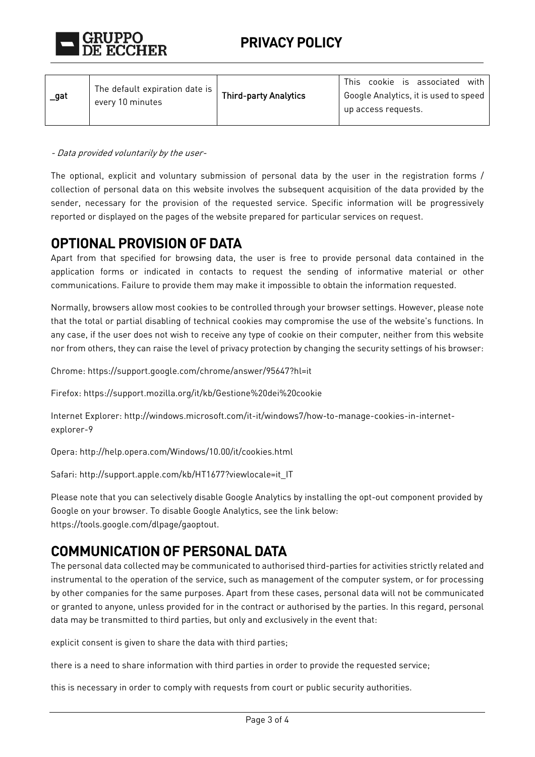

- Data provided voluntarily by the user-

The optional, explicit and voluntary submission of personal data by the user in the registration forms / collection of personal data on this website involves the subsequent acquisition of the data provided by the sender, necessary for the provision of the requested service. Specific information will be progressively reported or displayed on the pages of the website prepared for particular services on request.

### **OPTIONAL PROVISION OF DATA**

Apart from that specified for browsing data, the user is free to provide personal data contained in the application forms or indicated in contacts to request the sending of informative material or other communications. Failure to provide them may make it impossible to obtain the information requested.

Normally, browsers allow most cookies to be controlled through your browser settings. However, please note that the total or partial disabling of technical cookies may compromise the use of the website's functions. In any case, if the user does not wish to receive any type of cookie on their computer, neither from this website nor from others, they can raise the level of privacy protection by changing the security settings of his browser:

Chrome[: https://support.google.com/chrome/answer/95647?hl=it](https://support.google.com/chrome/answer/95647?hl=it)

Firefox:<https://support.mozilla.org/it/kb/Gestione%20dei%20cookie>

Internet Explorer: [http://windows.microsoft.com/it-it/windows7/how-to-manage-cookies-in-internet](http://windows.microsoft.com/it-it/windows7/how-to-manage-cookies-in-internet-explorer-9)[explorer-9](http://windows.microsoft.com/it-it/windows7/how-to-manage-cookies-in-internet-explorer-9)

Opera:<http://help.opera.com/Windows/10.00/it/cookies.html>

Safari: [http://support.apple.com/kb/HT1677?viewlocale=it\\_IT](http://support.apple.com/kb/HT1677?viewlocale=it_IT)

Please note that you can selectively disable Google Analytics by installing the opt-out component provided by Google on your browser. To disable Google Analytics, see the link below: https://tools.google.com/dlpage/gaoptout.

### **COMMUNICATION OF PERSONAL DATA**

The personal data collected may be communicated to authorised third-parties for activities strictly related and instrumental to the operation of the service, such as management of the computer system, or for processing by other companies for the same purposes. Apart from these cases, personal data will not be communicated or granted to anyone, unless provided for in the contract or authorised by the parties. In this regard, personal data may be transmitted to third parties, but only and exclusively in the event that:

explicit consent is given to share the data with third parties;

there is a need to share information with third parties in order to provide the requested service;

this is necessary in order to comply with requests from court or public security authorities.